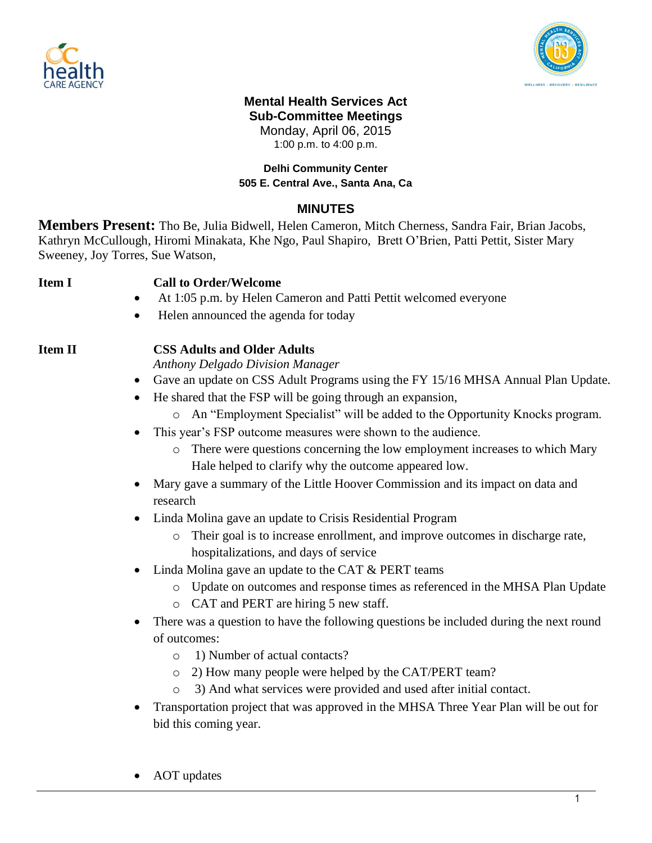



# **Mental Health Services Act Sub-Committee Meetings** Monday, April 06, 2015

1:00 p.m. to 4:00 p.m.

### **Delhi Community Center 505 E. Central Ave., Santa Ana, Ca**

## **MINUTES**

**Members Present:** Tho Be, Julia Bidwell, Helen Cameron, Mitch Cherness, Sandra Fair, Brian Jacobs, Kathryn McCullough, Hiromi Minakata, Khe Ngo, Paul Shapiro, Brett O'Brien, Patti Pettit, Sister Mary Sweeney, Joy Torres, Sue Watson,

## **Item I Call to Order/Welcome**

- At 1:05 p.m. by Helen Cameron and Patti Pettit welcomed everyone
- Helen announced the agenda for today

# **Item II CSS Adults and Older Adults**

*Anthony Delgado Division Manager*

- Gave an update on CSS Adult Programs using the FY 15/16 MHSA Annual Plan Update.
- He shared that the FSP will be going through an expansion,
	- o An "Employment Specialist" will be added to the Opportunity Knocks program.
- This year's FSP outcome measures were shown to the audience.
	- o There were questions concerning the low employment increases to which Mary Hale helped to clarify why the outcome appeared low.
- Mary gave a summary of the Little Hoover Commission and its impact on data and research
- Linda Molina gave an update to Crisis Residential Program
	- o Their goal is to increase enrollment, and improve outcomes in discharge rate, hospitalizations, and days of service
- Linda Molina gave an update to the CAT & PERT teams
	- o Update on outcomes and response times as referenced in the MHSA Plan Update
	- o CAT and PERT are hiring 5 new staff.
- There was a question to have the following questions be included during the next round of outcomes:
	- o 1) Number of actual contacts?
	- o 2) How many people were helped by the CAT/PERT team?
	- o 3) And what services were provided and used after initial contact.
- Transportation project that was approved in the MHSA Three Year Plan will be out for bid this coming year.
- AOT updates